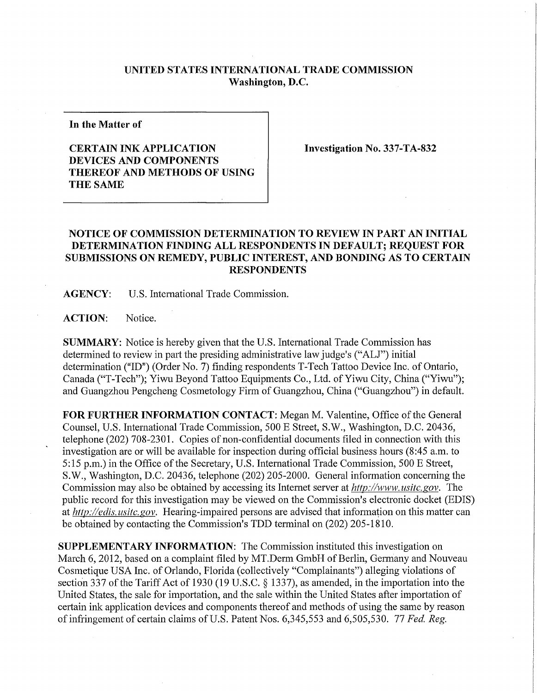## **UNITED STATES INTERNATIONAL TRADE COMMISSION Washington, D.C.**

**In the Matter of** 

## **CERTAIN INK APPLICATION DEVICES AND COMPONENTS THEREOF AND METHODS OF USING THE SAME**

**Investigation No. 337-TA-832** 

## **NOTICE OF COMMISSION DETERMINATION TO REVIEW IN PART AN INITIAL DETERMINATION FINDING ALL RESPONDENTS IN DEFAULT; REQUEST FOR SUBMISSIONS ON REMEDY, PUBLIC INTEREST, AND BONDING AS TO CERTAIN RESPONDENTS**

**AGENCY:** U.S. International Trade Commission.

**ACTION:** Notice.

**SUMMARY:** Notice is hereby given that the U.S. International Trade Commission has determined to review in part the presiding administrative law judge's ("ALJ") initial determination ("ID") (Order No. 7) finding respondents T-Tech Tattoo Device Inc. of Ontario, Canada ("T-Tech"); Yiwu Beyond Tattoo Equipments Co., Ltd. of Yiwu City, China ("Yiwu"); and Guangzhou Pengcheng Cosmetology Firm of Guangzhou, China ("Guangzhou") in default.

**FOR FURTHER INFORMATION CONTACT:** Megan M. Valentine, Office of the General Counsel, U.S. International Trade Commission, 500 E Street, S.W., Washington, D.C. 20436, telephone (202) 708-2301. Copies of non-confidential documents filed in connection with this investigation are or will be available for inspection during official business hours (8:45 a.m. to 5:15 p.m.) in the Office of the Secretary, U.S. International Trade Commission, 500 E Street, S.W., Washington, D.C. 20436, telephone (202) 205-2000. General information concerning the Commission may also be obtained by accessing its Internet server at *http://www, usitc.gov.* The public record for this investigation may be viewed on the Commission's electronic docket (EDIS) at *http://edis.usitc.gov.* Hearing-impaired persons are advised that information on this matter can be obtained by contacting the Commission's TDD terminal on (202) 205-1810.

**SUPPLEMENTARY INFORMATION:** The Commission instituted this investigation on March 6, 2012, based on a complaint filed by MT.Derm GmbH of Berlin, Germany and Nouveau Cosmetique USA Inc. of Orlando, Florida (collectively "Complainants") alleging violations of section 337 of the Tariff Act of 1930 (19 U.S.C. § 1337), as amended, in the importation into the United States, the sale for importation, and the sale within the United States after importation of certain ink application devices and components thereof and methods of using the same by reason of infringement of certain claims of U.S. Patent Nos. 6,345,553 and 6,505,530. 77 *Fed, Reg.*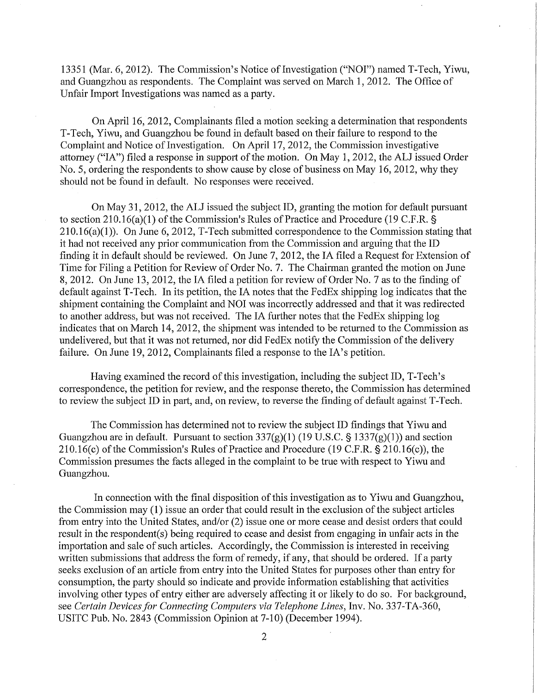13351 (Mar. 6, 2012). The Commission's Notice of Investigation ("NOT") named T-Tech, Yiwu, and Guangzhou as respondents. The Complaint was served on March 1, 2012. The Office of Unfair Import Investigations was named as a party.

On April 16, 2012, Complainants filed a motion seeking a determination that respondents T-Tech, Yiwu, and Guangzhou be found in default based on their failure to respond to the Complaint and Notice of Investigation. On April 17, 2012, the Commission investigative attorney ("IA") filed a response in support of the motion. On May 1, 2012, the ALJ issued Order No. 5, ordering the respondents to show cause by close of business on May 16, 2012, why they should not be found in default. No responses were received.

On May 31, 2012, the ALJ issued the subject ID, granting the motion for default pursuant to section 210.16(a)(1) of the Commission's Rules of Practice and Procedure (19 C.F.R. §  $210.16(a)(1)$ ). On June 6, 2012, T-Tech submitted correspondence to the Commission stating that it had not received any prior communication from the Commission and arguing that the ID finding it in default should be reviewed. On June 7, 2012, the IA filed a Request for Extension of Time for Filing a Petition for Review of Order No. 7. The Chairman granted the motion on June 8, 2012. On June 13, 2012, the IA filed a petition for review of Order No. 7 as to the finding of default against T-Tech. In its petition, the IA notes that the FedEx shipping log indicates that the shipment containing the Complaint and NOI was incorrectly addressed and that it was redirected to another address, but was not received. The IA further notes that the FedEx shipping log indicates that on March 14, 2012, the shipment was intended to be returned to the Commission as undelivered, but that it was not returned, nor did FedEx notify the Commission of the delivery failure. On June 19, 2012, Complainants filed a response to the IA's petition.

Having examined the record of this investigation, including the subject ID, T-Tech's correspondence, the petition for review, and the response thereto, the Commission has determined to review the subject ID in part, and, on review, to reverse the finding of default against T-Tech.

The Commission has determined not to review the subject ID findings that Yiwu and Guangzhou are in default. Pursuant to section  $337(g)(1)$  (19 U.S.C. § 1337(g)(1)) and section 210.16(c) of the Commission's Rules of Practice and Procedure (19 C.F.R. § 210.16(c)), the Commission presumes the facts alleged in the complaint to be true with respect to Yiwu and Guangzhou.

In connection with the final disposition of this investigation as to Yiwu and Guangzhou, the Commission may (1) issue an order that could result in the exclusion of the subject articles from entry into the United States, and/or (2) issue one or more cease and desist orders that could result in the respondent(s) being required to cease and desist from engaging in unfair acts in the importation and sale of such articles. Accordingly, the Commission is interested in receiving written submissions that address the form of remedy, if any, that should be ordered. If a party seeks exclusion of an article from entry into the United States for purposes other than entry for consumption, the party should so indicate and provide information establishing that activities involving other types of entry either are adversely affecting it or likely to do so. For background, see *Certain Devices for Connecting Computers via Telephone Lines,* Inv. No. 337-TA-360, USITC Pub. No. 2843 (Commission Opinion at 7-10) (December 1994).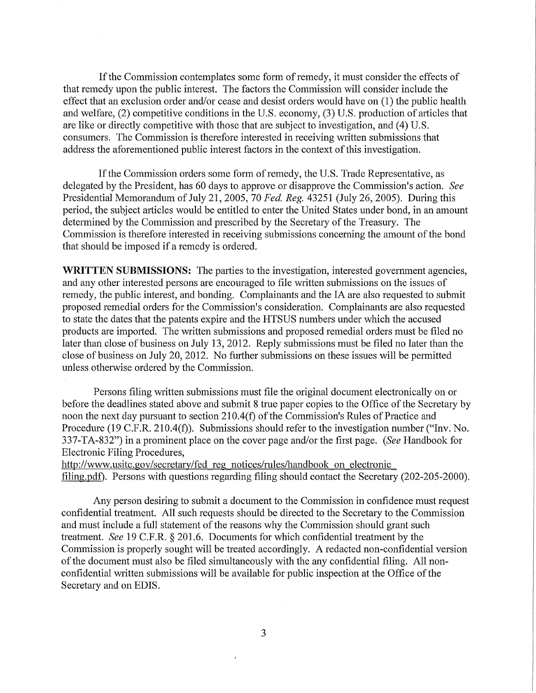If the Commission contemplates some form of remedy, it must consider the effects of that remedy upon the public interest. The factors the Commission will consider include the effect that an exclusion order and/or cease and desist orders would have on (1) the public health and welfare, (2) competitive conditions in the U.S. economy, (3) U.S. production of articles that are like or directly competitive with those that are subject to investigation, and (4) U.S. consumers. The Commission is therefore interested in receiving written submissions that address the aforementioned public interest factors in the context of this investigation.

If the Commission orders some form of remedy, the U.S. Trade Representative, as delegated by the President, has 60 days to approve or disapprove the Commission's action. *See*  Presidential Memorandum of July 21, 2005, 70 *Fed, Reg.* 43251 (July 26, 2005). During this period, the subject articles would be entitled to enter the United States under bond, in an amount determined by the Commission and prescribed by the Secretary of the Treasury. The Commission is therefore interested in receiving submissions concerning the amount of the bond that should be imposed if a remedy is ordered.

**WRITTEN SUBMISSIONS:** The parties to the investigation, interested government agencies, and any other interested persons are encouraged to file written submissions on the issues of remedy, the public interest, and bonding. Complainants and the IA are also requested to submit proposed remedial orders for the Commission's consideration. Complainants are also requested to state the dates that the patents expire and the HTSUS numbers under which the accused products are imported. The written submissions and proposed remedial orders must be filed no later than close of business on July 13, 2012. Reply submissions must be filed no later than the close of business on July 20, 2012. No further submissions on these issues will be permitted unless otherwise ordered by the Commission.

Persons filing written submissions must file the original document electronically on or before the deadlines stated above and submit 8 true paper copies to the Office of the Secretary by noon the next day pursuant to section 210.4(f) of the Commission's Rules of Practice and Procedure (19 C.F.R. 210.4(f)). Submissions should refer to the investigation number ("Inv. No. 337-TA-832") in a prominent place on the cover page and/or the first page. *(See* Handbook for Electronic Filing Procedures,

http://www.usitc.gov/secretary/fed\_reg\_notices/rules/handbook\_on\_electronic\_ filing.pdf). Persons with questions regarding filing should contact the Secretary (202-205-2000).

Any person desiring to submit a document to the Commission in confidence must request confidential treatment. All such requests should be directed to the Secretary to the Commission and must include a full statement of the reasons why the Commission should grant such treatment. *See* 19 C.F.R. § 201.6. Documents for which confidential treatment by the Commission is properly sought will be treated accordingly. A redacted non-confidential version of the document must also be filed simultaneously with the any confidential filing. All nonconfidential written submissions will be available for public inspection at the Office of the Secretary and on EDIS.